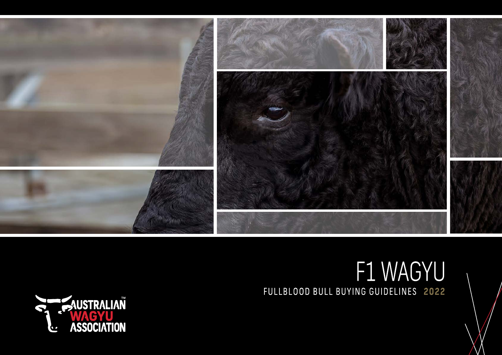

## F1 WAGYU FULLBLOOD BULL BUYING GUIDELINES 2022

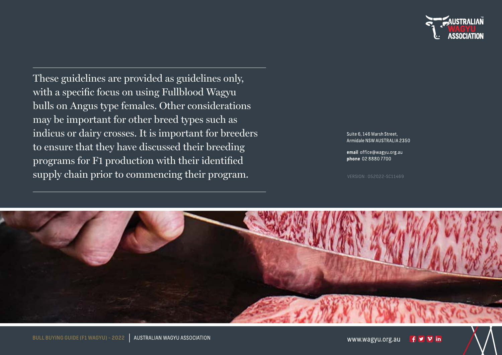

These guidelines are provided as guidelines only, with a specific focus on using Fullblood Wagyu bulls on Angus type females. Other considerations may be important for other breed types such as indicus or dairy crosses. It is important for breeders to ensure that they have discussed their breeding programs for F1 production with their identified supply chain prior to commencing their program.

Suite 6, 146 Marsh Street. Armidale NSW AUSTRALIA 2350

email office@wagyu.org.au phone 0288807700

VERSION : 052022-SC11469

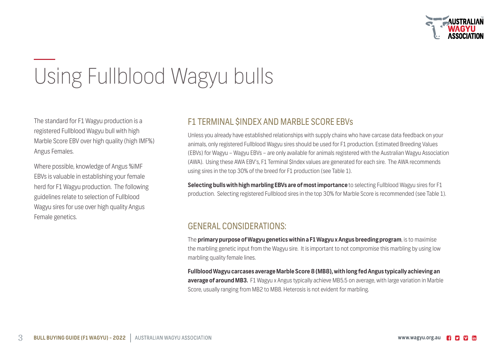

# Using Fullblood Wagyu bulls

The standard for F1 Wagyu production is a registered Fullblood Wagyu bull with high Marble Score EBV over high quality (high IMF%) Angus Females.

Where possible, knowledge of Angus %IMF EBVs is valuable in establishing your female herd for F1 Wagyu production. The following guidelines relate to selection of Fullblood Wagyu sires for use over high quality Angus Female genetics.

## F1 TERMINAL \$INDEX AND MARBLE SCORE EBVs

Unless you already have established relationships with supply chains who have carcase data feedback on your animals, only registered Fullblood Wagyu sires should be used for F1 production. Estimated Breeding Values (EBVs) for Wagyu – Wagyu EBVs – are only available for animals registered with the Australian Wagyu Association (AWA). Using these AWA EBV's, F1 Terminal \$Index values are generated for each sire. The AWA recommends using sires in the top 30% of the breed for F1 production (see Table 1).

**Selecting bulls with high marbling EBVs are of most importance** to selecting Fullblood Wagyu sires for F1 production. Selecting registered Fullblood sires in the top 30% for Marble Score is recommended (see Table 1).

## GENERAL CONSIDERATIONS:

The **primary purpose of Wagyu genetics within a F1 Wagyu x Angus breeding program**, is to maximise the marbling genetic input from the Wagyu sire. It is important to not compromise this marbling by using low marbling quality female lines.

**Fullblood Wagyu carcases average Marble Score 8 (MB8), with long fed Angus typically achieving an average of around MB3.** F1 Wagyu x Angus typically achieve MB5.5 on average, with large variation in Marble Score, usually ranging from MB2 to MB8. Heterosis is not evident for marbling.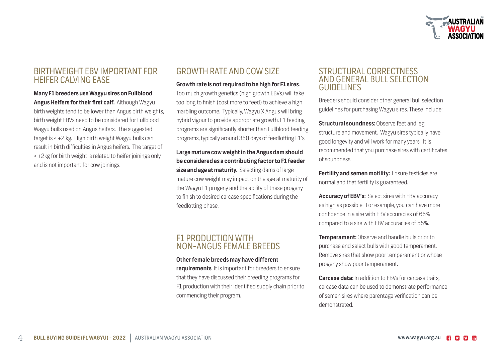

## BIRTHWEIGHT EBV IMPORTANT FOR HEIFER CALVING EASE

**Many F1 breeders use Wagyu sires on Fullblood Angus Heifers for their first calf.** Although Wagyu birth weights tend to be lower than Angus birth weights, birth weight EBVs need to be considered for Fullblood Wagyu bulls used on Angus heifers. The suggested target is < +2 kg. High birth weight Wagyu bulls can result in birth difficulties in Angus heifers. The target of < +2kg for birth weight is related to heifer joinings only and is not important for cow joinings.

## GROWTH RATE AND COW SIZE

#### **Growth rate is not required to be high for F1 sires**.

Too much growth genetics (high growth EBVs) will take too long to finish (cost more to feed) to achieve a high marbling outcome. Typically, Wagyu X Angus will bring hybrid vigour to provide appropriate growth. F1 feeding programs are significantly shorter than Fullblood feeding programs, typically around 350 days of feedlotting F1's.

#### **Large mature cow weight in the Angus dam should be considered as a contributing factor to F1 feeder size and age at maturity.** Selecting dams of large mature cow weight may impact on the age at maturity of the Wagyu F1 progeny and the ability of these progeny to finish to desired carcase specifications during the feedlotting phase.

### F1 PRODUCTION WITH NON-ANGUS FEMALE BREEDS

#### **Other female breeds may have different**

**requirements**. It is important for breeders to ensure that they have discussed their breeding programs for F1 production with their identified supply chain prior to commencing their program.

#### STRUCTURAL CORRECTNESS AND GENERAL BULL SELECTION GUIDELINES

Breeders should consider other general bull selection guidelines for purchasing Wagyu sires. These include:

**Structural soundness: Observe feet and leg** structure and movement. Wagyu sires typically have good longevity and will work for many years. It is recommended that you purchase sires with certificates of soundness.

**Fertility and semen motility:** Ensure testicles are normal and that fertility is guaranteed.

**Accuracy of EBV's:** Select sires with EBV accuracy as high as possible. For example, you can have more confidence in a sire with EBV accuracies of 65% compared to a sire with EBV accuracies of 55%.

**Temperament:** Observe and handle bulls prior to purchase and select bulls with good temperament. Remove sires that show poor temperament or whose progeny show poor temperament.

**Carcase data:** In addition to EBVs for carcase traits, carcase data can be used to demonstrate performance of semen sires where parentage verification can be demonstrated.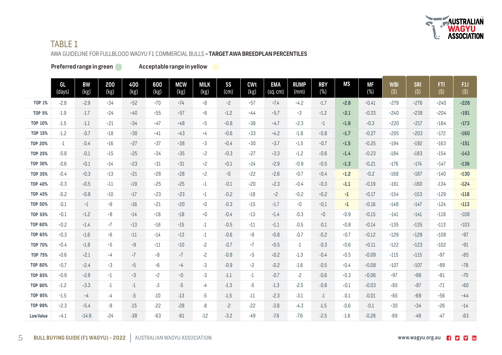

## **TABLE 1**

AWA GUIDELINE FOR FULLBLOOD WAGYU F1 COMMERCIAL BULLS - TARGET AWA BREEDPLAN PERCENTILES

Preferred range in green

Acceptable range in yellow

|                  | GL<br>(days) | <b>BW</b><br>(kg) | 200<br>(kg) | 400<br>(kg) | 600<br>(kg) | <b>MCW</b><br>(kg)                             | <b>MILK</b><br>(kg) | SS<br>(cm) | <b>CWt</b><br>(kg) | <b>EMA</b><br>(sq.cm) | <b>RUMP</b><br>(mm) | <b>RBY</b><br>$(\% )$ | <b>MS</b> | МF<br>$(\%)$ | <b>WBI</b><br>$(\dot{\mathsf{S}})$ | <b>SRI</b><br>(5) | FTI.<br>(5) | F11<br>(5) |
|------------------|--------------|-------------------|-------------|-------------|-------------|------------------------------------------------|---------------------|------------|--------------------|-----------------------|---------------------|-----------------------|-----------|--------------|------------------------------------|-------------------|-------------|------------|
| <b>TOP 1%</b>    | $-2.8$       | $-2.9$            | $+34$       | $+52$       | $+70$       | $+74$                                          | $+8$                | $+2$       | $+57$              | $+7.4$                | $+4.2$              | $+1.7$                | $+2.6$    | $+0.41$      | $+279$                             | $+276$            | $+240$      | $+226$     |
| <b>TOP 5%</b>    | $-1.9$       | $-1.7$            | $+24$       | $+40$       | $+55$       | $+57$                                          | $+6$                | $+1.2$     | $+44$              | $+5.7$                | $+3$                | $+1.2$                | $+2.1$    | $+0.33$      | $+240$                             | $+238$            | $+204$      | $+191$     |
| <b>TOP 10%</b>   | $-1.5$       | $-1.1$            | $+21$       | $+34$       | $+47$       | $+48$                                          | $+5$                | $+0.8$     | $+38$              | $+4.7$                | $+2.3$              | $+1$                  | $+1.9$    | $+0.3$       | $+220$                             | $+217$            | $+184$      | $+173$     |
| <b>TOP 15%</b>   | $-1.2$       | $-0.7$            | $+18$       | $+30$       | $+41$       | $+43$                                          | $+4$                | $+0.6$     | $+33$              | $+4.2$                | $+1.8$              | $+0.8$                | $+1.7$    | $+0.27$      | $+205$                             | $+203$            | $+172$      | $+160$     |
| <b>TOP 20%</b>   | $-1$         | $-0.4$            | $+16$       | $+27$       | $+37$       | $+38$                                          | $+3$                | $+0.4$     | $+30$              | $+3.7$                | $+1.5$              | $+0.7$                | $+1.5$    | $+0.25$      | $+194$                             | $+192$            | $+163$      | $+151$     |
| <b>TOP 25%</b>   | $-0.8$       | $-0.1$            | $+15$       | $+25$       | $+34$       | $+35$                                          | $+2$                | $+0.3$     | $+27$              | $+3.3$                | $+1.2$              | $+0.6$                | $+1.4$    | $+0.23$      | $+184$                             | $+183$            | $+154$      | $+143$     |
| <b>TOP 30%</b>   | $-0.6$       | $+0.1$            | $+14$       | $+23$       | $+31$       | $+31$                                          | $+2$                | $+0.1$     | $+24$              | $+2.9$                | $+0.9$              | $+0.5$                | $+1.3$    | $+0.21$      | $+176$                             | $+174$            | $+147$      | $+136$     |
| <b>TOP 35%</b>   | $-0.4$       | $+0.3$            | $+13$       | $+21$       | $+28$       | $+28$                                          | $+2$                | $\rm ^+O$  | $+22$              | $+2.6$                | $+0.7$              | $+0.4$                | $+1.2$    | $+0.2$       | $+168$                             | $+167$            | $+140$      | $+130$     |
| <b>TOP 40%</b>   | $-0.3$       | $+0.5$            | $+11$       | $+19$       | $+25$       | $+25$                                          | $+1$                | $-0.1$     | $+20$              | $+2.3$                | $+0.4$              | $+0.3$                | $+1.1$    | $+0.19$      | $+161$                             | $+160$            | $+134$      | $+124$     |
| <b>TOP 45%</b>   | $-0.2$       | $+0.8$            | $+10$       | $+17$       | $+23$       | $+23$                                          | $+1$                | $-0.2$     | $+18$              | $+2$                  | $+0.2$              | $+0.2$                | $+1$      | $+0.17$      | $+154$                             | $+153$            | $+129$      | $+118$     |
| <b>TOP 50%</b>   | $-0.1$       | $+1$              | $+9$        | $+16$       | $+21$       | $+20$                                          | $+0$                | $-0.3$     | $+15$              | $+1.7$                | $+0$                | $+0.1$                | $+1$      | $+0.16$      | $+148$                             | $+147$            | $+124$      | $+113$     |
| <b>TOP 55%</b>   | $+0.1$       | $+1.2$            | $+8$        | $+14$       | $+18$       | $+18$                                          | $+0$                | $-0.4$     | $+13$              | $+1.4$                | $-0.3$              | $+0$                  | $+0.9$    | $+0.15$      | $+141$                             | $+141$            | $+118$      | $+108$     |
| <b>TOP 60%</b>   | $+0.2$       | $+1.4$            | $+7$        | $+13$       | $+16$       | $+15$                                          | $-1$                | $-0.5$     | $+11$              | $+1.1$                | $-0.5$              | $-0.1$                | $+0.8$    | $+0.14$      | $+135$                             | $+135$            | $+113$      | $+103$     |
| <b>TOP 65%</b>   | $+0.3$       | $+1.6$            | $+6$        | $+11$       | $+14$       | $+13$                                          | $-1$                | $-0.6$     | $+9$               | $+0.8$                | $-0.7$              | $-0.2$                | $+0.7$    | $+0.12$      | $+129$                             | $+129$            | $+108$      | $+97$      |
| <b>TOP 70%</b>   | $+0.4$       | $+1.8$            | $+5$        | $+9$        | $+11$       | $+10$                                          | $-2$                | $-0.7$     | $+7$               | $+0.5$                | $-1$                | $-0.3$                | $+0.6$    | $+0.11$      | $+122$                             | $+123$            | $+102$      | $+91$      |
| <b>TOP 75%</b>   | $+0.6$       | $+2.1$            | $+4$        | $+7$        | $+8$        | $+7$                                           | $-2$                | $-0.8$     | $+5$               | $+0.2$                | $-1.3$              | $-0.4$                | $+0.5$    | $+0.09$      | $+115$                             | $+115$            | $+97$       | $+85$      |
| <b>TOP 80%</b>   | $+0.7$       | $+2.4$            | $+3$        | $+5$        | $+6$        | $+4$                                           | $-3$                | $-0.9$     | $+2$               | $-0.2$                | $-1.6$              | $-0.5$                | $+0.4$    | $+0.08$      | $+107$                             | $+107$            | $+89$       | $+78$      |
| <b>TOP 85%</b>   | $+0.9$       | $+2.8$            | $+1$        | $+3$        | $+2$        | $\mathord{\text{\rm -}}\mathord{\text{\rm -}}$ | $-3$                | $-1.1$     | $-1$               | $-0.7$                | $-2$                | $-0.6$                | $+0.3$    | $+0.06$      | $+97$                              | $+98$             | $+81$       | $+70$      |
| <b>TOP 90%</b>   | $+1.2$       | $+3.3$            | -1          | $-1$        | $-3$        | -5                                             | -4                  | $-1.3$     | $-5$               | $-1.3$                | $-2.5$              | $-0.8$                | $+0.1$    | $+0.03$      | $+85$                              | $+87$             | $+71$       | $+60$      |
| <b>TOP 95%</b>   | $+1.5$       | $+4$              | -4          | $-5$        | $-10$       | $-13$                                          | $-5$                | $-1.5$     | $-11$              | $-2.3$                | $-3.1$              | $-1$                  | $-0.1$    | $-0.01$      | $+65$                              | $+69$             | $+56$       | $+44$      |
| <b>TOP 99%</b>   | $+2.3$       | $+5.4$            | -9          | $-15$       | $-22$       | $-28$                                          | $-8$                | $-2$       | $-22$              | $-3.8$                | $-4.3$              | $-1.5$                | $-0.6$    | $-0.1$       | $+30$                              | $+34$             | $+26$       | $+14$      |
| <b>Low Value</b> | $+4.1$       | $+14.9$           | $-24$       | $-38$       | $-63$       | $-61$                                          | $-12$               | $-3.2$     | $-49$              | $-7.6$                | $-7.6$              | $-2.5$                | $-1.6$    | $-0.28$      | $-69$                              | $-48$             | $-47$       | $-63$      |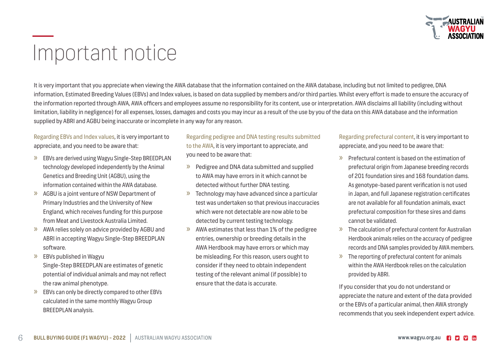

## Important notice

It is very important that you appreciate when viewing the AWA database that the information contained on the AWA database, including but not limited to pedigree, DNA information, Estimated Breeding Values (EBVs) and Index values, is based on data supplied by members and/or third parties. Whilst every effort is made to ensure the accuracy of the information reported through AWA, AWA officers and employees assume no responsibility for its content, use or interpretation. AWA disclaims all liability (including without limitation, liability in negligence) for all expenses, losses, damages and costs you may incur as a result of the use by you of the data on this AWA database and the information supplied by ABRI and AGBU being inaccurate or incomplete in any way for any reason.

Regarding EBVs and Index values, it is very important to appreciate, and you need to be aware that:

- » EBVs are derived using Wagyu Single-Step BREEDPLAN technology developed independently by the Animal Genetics and Breeding Unit (AGBU), using the information contained within the AWA database.
- » AGBU is a joint venture of NSW Department of Primary Industries and the University of New England, which receives funding for this purpose from Meat and Livestock Australia Limited.
- » AWA relies solely on advice provided by AGBU and ABRI in accepting Wagyu Single-Step BREEDPLAN software.
- » EBVs published in Wagyu Single-Step BREEDPLAN are estimates of genetic potential of individual animals and may not reflect the raw animal phenotype.
- » EBVs can only be directly compared to other EBVs calculated in the same monthly Wagyu Group BREEDPLAN analysis.

Regarding pedigree and DNA testing results submitted to the AWA, it is very important to appreciate, and you need to be aware that:

- » Pedigree and DNA data submitted and supplied to AWA may have errors in it which cannot be detected without further DNA testing.
- » Technology may have advanced since a particular test was undertaken so that previous inaccuracies which were not detectable are now able to be detected by current testing technology.
- » AWA estimates that less than 1% of the pedigree entries, ownership or breeding details in the AWA Herdbook may have errors or which may be misleading. For this reason, users ought to consider if they need to obtain independent testing of the relevant animal (if possible) to ensure that the data is accurate.

Regarding prefectural content, it is very important to appreciate, and you need to be aware that:

- » Prefectural content is based on the estimation of prefectural origin from Japanese breeding records of 201 foundation sires and 168 foundation dams. As genotype-based parent verification is not used in Japan, and full Japanese registration certificates are not available for all foundation animals, exact prefectural composition for these sires and dams cannot be validated.
- » The calculation of prefectural content for Australian Herdbook animals relies on the accuracy of pedigree records and DNA samples provided by AWA members.
- » The reporting of prefectural content for animals within the AWA Herdbook relies on the calculation provided by ABRI.

If you consider that you do not understand or appreciate the nature and extent of the data provided or the EBVs of a particular animal, then AWA strongly recommends that you seek independent expert advice.